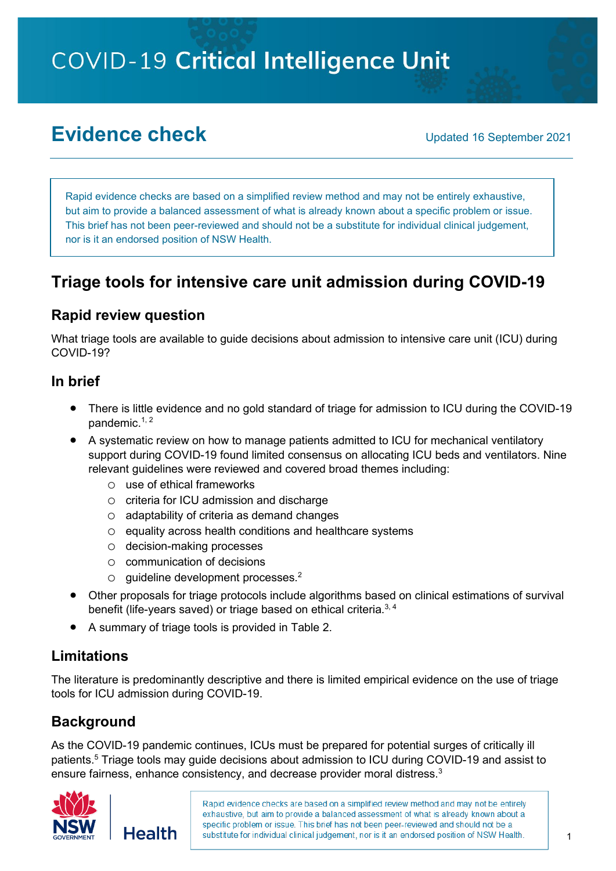# **COVID-19 Critical Intelligence Unit**

## **Evidence check** Updated 16 September 2021

Rapid evidence checks are based on a simplified review method and may not be entirely exhaustive, but aim to provide a balanced assessment of what is already known about a specific problem or issue. This brief has not been peer-reviewed and should not be a substitute for individual clinical judgement, nor is it an endorsed position of NSW Health.

## **Triage tools for intensive care unit admission during COVID-19**

## **Rapid review question**

What triage tools are available to guide decisions about admission to intensive care unit (ICU) during COVID-19?

#### **In brief**

- There is little evidence and no gold standard of triage for admission to ICU during the COVID-19 pandemic.<sup>1, 2</sup>
- A systematic review on how to manage patients admitted to ICU for mechanical ventilatory support during COVID-19 found limited consensus on allocating ICU beds and ventilators. Nine relevant guidelines were reviewed and covered broad themes including:
	- o use of ethical frameworks
	- o criteria for ICU admission and discharge
	- o adaptability of criteria as demand changes
	- o equality across health conditions and healthcare systems
	- o decision-making processes
	- o communication of decisions
	- o guideline development processes.2
- Other proposals for triage protocols include algorithms based on clinical estimations of survival benefit (life-years saved) or triage based on ethical criteria.<sup>3, 4</sup>
- A summary of triage tools is provided in Table 2.

## **Limitations**

The literature is predominantly descriptive and there is limited empirical evidence on the use of triage tools for ICU admission during COVID-19.

## **Background**

As the COVID-19 pandemic continues, ICUs must be prepared for potential surges of critically ill patients. <sup>5</sup> Triage tools may guide decisions about admission to ICU during COVID-19 and assist to ensure fairness, enhance consistency, and decrease provider moral distress.<sup>3</sup>

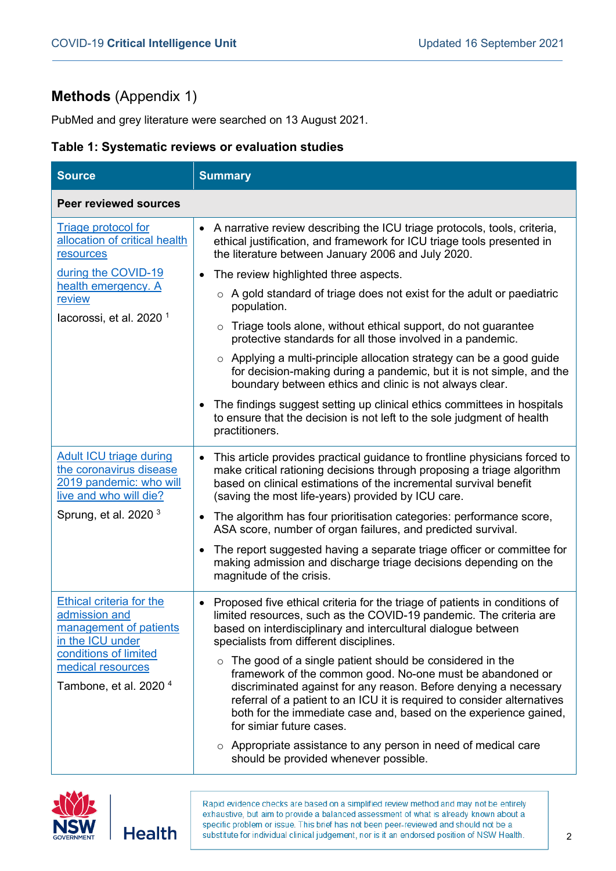## **Methods** (Appendix 1)

PubMed and grey literature were searched on 13 August 2021.

#### **Table 1: Systematic reviews or evaluation studies**

| <b>Source</b>                                                                                                                                                                     | <b>Summary</b>                                                                                                                                                                                                                                                                                                                                                                                                                                                                                                                                                                                                                                               |
|-----------------------------------------------------------------------------------------------------------------------------------------------------------------------------------|--------------------------------------------------------------------------------------------------------------------------------------------------------------------------------------------------------------------------------------------------------------------------------------------------------------------------------------------------------------------------------------------------------------------------------------------------------------------------------------------------------------------------------------------------------------------------------------------------------------------------------------------------------------|
| <b>Peer reviewed sources</b>                                                                                                                                                      |                                                                                                                                                                                                                                                                                                                                                                                                                                                                                                                                                                                                                                                              |
| Triage protocol for<br>allocation of critical health<br>resources                                                                                                                 | A narrative review describing the ICU triage protocols, tools, criteria,<br>$\bullet$<br>ethical justification, and framework for ICU triage tools presented in<br>the literature between January 2006 and July 2020.                                                                                                                                                                                                                                                                                                                                                                                                                                        |
| during the COVID-19                                                                                                                                                               | The review highlighted three aspects.<br>$\bullet$                                                                                                                                                                                                                                                                                                                                                                                                                                                                                                                                                                                                           |
| health emergency. A<br>review<br>lacorossi, et al. 2020 $1$                                                                                                                       | $\circ$ A gold standard of triage does not exist for the adult or paediatric<br>population.                                                                                                                                                                                                                                                                                                                                                                                                                                                                                                                                                                  |
|                                                                                                                                                                                   | Triage tools alone, without ethical support, do not guarantee<br>$\circ$<br>protective standards for all those involved in a pandemic.                                                                                                                                                                                                                                                                                                                                                                                                                                                                                                                       |
|                                                                                                                                                                                   | $\circ$ Applying a multi-principle allocation strategy can be a good guide<br>for decision-making during a pandemic, but it is not simple, and the<br>boundary between ethics and clinic is not always clear.                                                                                                                                                                                                                                                                                                                                                                                                                                                |
|                                                                                                                                                                                   | The findings suggest setting up clinical ethics committees in hospitals<br>$\bullet$<br>to ensure that the decision is not left to the sole judgment of health<br>practitioners.                                                                                                                                                                                                                                                                                                                                                                                                                                                                             |
| <b>Adult ICU triage during</b><br>the coronavirus disease<br>2019 pandemic: who will<br>live and who will die?                                                                    | This article provides practical guidance to frontline physicians forced to<br>make critical rationing decisions through proposing a triage algorithm<br>based on clinical estimations of the incremental survival benefit<br>(saving the most life-years) provided by ICU care.                                                                                                                                                                                                                                                                                                                                                                              |
| Sprung, et al. 2020 $3$                                                                                                                                                           | The algorithm has four prioritisation categories: performance score,<br>$\bullet$<br>ASA score, number of organ failures, and predicted survival.                                                                                                                                                                                                                                                                                                                                                                                                                                                                                                            |
|                                                                                                                                                                                   | The report suggested having a separate triage officer or committee for<br>making admission and discharge triage decisions depending on the<br>magnitude of the crisis.                                                                                                                                                                                                                                                                                                                                                                                                                                                                                       |
| <b>Ethical criteria for the</b><br>admission and<br>management of patients<br>in the ICU under<br>conditions of limited<br>medical resources<br>Tambone, et al. 2020 <sup>4</sup> | Proposed five ethical criteria for the triage of patients in conditions of<br>$\bullet$<br>limited resources, such as the COVID-19 pandemic. The criteria are<br>based on interdisciplinary and intercultural dialogue between<br>specialists from different disciplines.<br>The good of a single patient should be considered in the<br>$\circ$<br>framework of the common good. No-one must be abandoned or<br>discriminated against for any reason. Before denying a necessary<br>referral of a patient to an ICU it is required to consider alternatives<br>both for the immediate case and, based on the experience gained,<br>for simiar future cases. |
|                                                                                                                                                                                   | $\circ$ Appropriate assistance to any person in need of medical care<br>should be provided whenever possible.                                                                                                                                                                                                                                                                                                                                                                                                                                                                                                                                                |



**Health**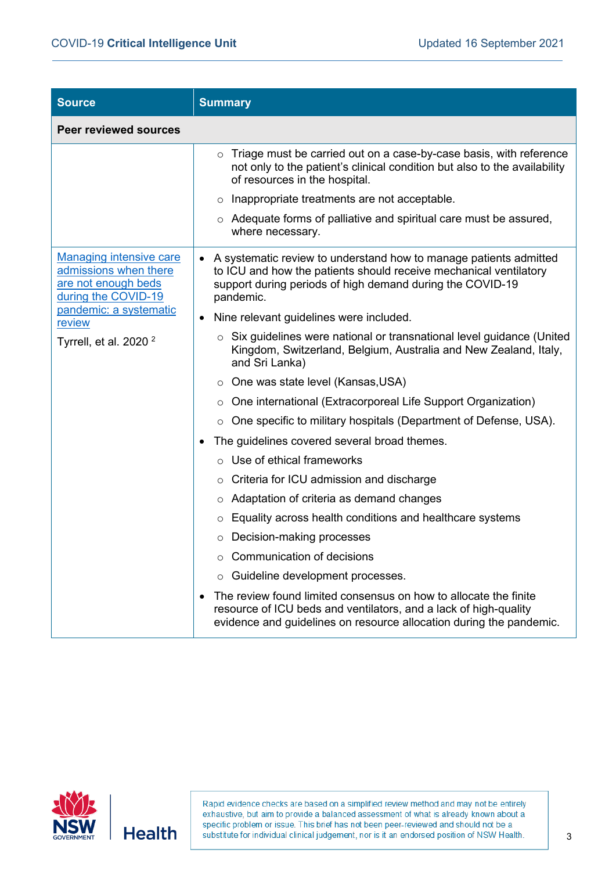| <b>Source</b>                                                                                         | <b>Summary</b>                                                                                                                                                                                                                                                                                                                                         |
|-------------------------------------------------------------------------------------------------------|--------------------------------------------------------------------------------------------------------------------------------------------------------------------------------------------------------------------------------------------------------------------------------------------------------------------------------------------------------|
| <b>Peer reviewed sources</b>                                                                          |                                                                                                                                                                                                                                                                                                                                                        |
|                                                                                                       | Triage must be carried out on a case-by-case basis, with reference<br>$\circ$<br>not only to the patient's clinical condition but also to the availability<br>of resources in the hospital.<br>Inappropriate treatments are not acceptable.<br>$\circ$<br>$\circ$ Adequate forms of palliative and spiritual care must be assured,<br>where necessary. |
| <b>Managing intensive care</b><br>admissions when there<br>are not enough beds<br>during the COVID-19 | A systematic review to understand how to manage patients admitted<br>$\bullet$<br>to ICU and how the patients should receive mechanical ventilatory<br>support during periods of high demand during the COVID-19<br>pandemic.                                                                                                                          |
| pandemic: a systematic<br>review                                                                      | Nine relevant guidelines were included.<br>$\bullet$                                                                                                                                                                                                                                                                                                   |
| Tyrrell, et al. 2020 $2$                                                                              | $\circ$ Six guidelines were national or transnational level guidance (United<br>Kingdom, Switzerland, Belgium, Australia and New Zealand, Italy,<br>and Sri Lanka)                                                                                                                                                                                     |
|                                                                                                       | ○ One was state level (Kansas, USA)                                                                                                                                                                                                                                                                                                                    |
|                                                                                                       | One international (Extracorporeal Life Support Organization)<br>$\circ$                                                                                                                                                                                                                                                                                |
|                                                                                                       | One specific to military hospitals (Department of Defense, USA).<br>$\circ$                                                                                                                                                                                                                                                                            |
|                                                                                                       | The guidelines covered several broad themes.                                                                                                                                                                                                                                                                                                           |
|                                                                                                       | Use of ethical frameworks<br>$\circ$                                                                                                                                                                                                                                                                                                                   |
|                                                                                                       | $\circ$ Criteria for ICU admission and discharge                                                                                                                                                                                                                                                                                                       |
|                                                                                                       | Adaptation of criteria as demand changes<br>O                                                                                                                                                                                                                                                                                                          |
|                                                                                                       | Equality across health conditions and healthcare systems<br>O                                                                                                                                                                                                                                                                                          |
|                                                                                                       | Decision-making processes<br>O                                                                                                                                                                                                                                                                                                                         |
|                                                                                                       | ○ Communication of decisions                                                                                                                                                                                                                                                                                                                           |
|                                                                                                       | Guideline development processes.<br>$\circ$                                                                                                                                                                                                                                                                                                            |
|                                                                                                       | The review found limited consensus on how to allocate the finite<br>resource of ICU beds and ventilators, and a lack of high-quality<br>evidence and guidelines on resource allocation during the pandemic.                                                                                                                                            |

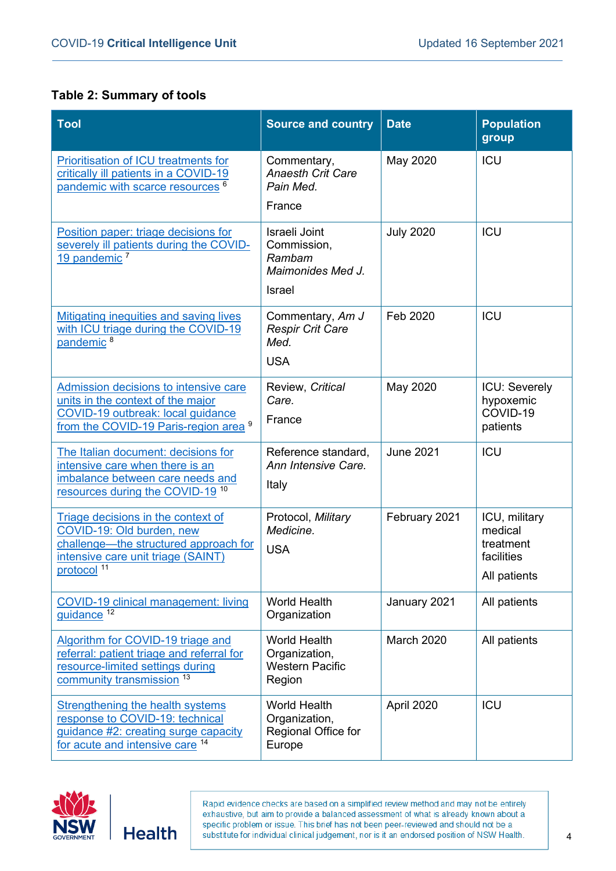#### **Table 2: Summary of tools**

| <b>Tool</b>                                                                                                                                                                | <b>Source and country</b>                                                    | <b>Date</b>       | <b>Population</b><br>group                                          |
|----------------------------------------------------------------------------------------------------------------------------------------------------------------------------|------------------------------------------------------------------------------|-------------------|---------------------------------------------------------------------|
| Prioritisation of ICU treatments for<br>critically ill patients in a COVID-19<br>pandemic with scarce resources                                                            | Commentary,<br><b>Anaesth Crit Care</b><br>Pain Med.                         | May 2020          | ICU                                                                 |
|                                                                                                                                                                            | France                                                                       |                   |                                                                     |
| Position paper: triage decisions for<br>severely ill patients during the COVID-<br>19 pandemic <sup>7</sup>                                                                | Israeli Joint<br>Commission,<br>Rambam<br>Maimonides Med J.<br><b>Israel</b> | <b>July 2020</b>  | ICU                                                                 |
| <b>Mitigating inequities and saving lives</b><br>with ICU triage during the COVID-19<br>pandemic <sup>8</sup>                                                              | Commentary, Am J<br><b>Respir Crit Care</b><br>Med.<br><b>USA</b>            | Feb 2020          | ICU                                                                 |
| Admission decisions to intensive care<br>units in the context of the major<br><b>COVID-19 outbreak: local guidance</b><br>from the COVID-19 Paris-region area <sup>9</sup> | Review, Critical<br>Care.<br>France                                          | May 2020          | ICU: Severely<br>hypoxemic<br>COVID-19<br>patients                  |
| The Italian document: decisions for<br>intensive care when there is an<br>imbalance between care needs and<br>resources during the COVID-19 <sup>10</sup>                  | Reference standard,<br>Ann Intensive Care.<br>Italy                          | <b>June 2021</b>  | ICU                                                                 |
| Triage decisions in the context of<br>COVID-19: Old burden, new<br>challenge—the structured approach for<br>intensive care unit triage (SAINT)<br>protocol <sup>11</sup>   | Protocol, Military<br>Medicine.<br><b>USA</b>                                | February 2021     | ICU, military<br>medical<br>treatment<br>facilities<br>All patients |
| <b>COVID-19 clinical management: living</b><br>quidance <sup>12</sup>                                                                                                      | <b>World Health</b><br>Organization                                          | January 2021      | All patients                                                        |
| Algorithm for COVID-19 triage and<br>referral: patient triage and referral for<br>resource-limited settings during<br>community transmission 13                            | <b>World Health</b><br>Organization,<br><b>Western Pacific</b><br>Region     | <b>March 2020</b> | All patients                                                        |
| <b>Strengthening the health systems</b><br>response to COVID-19: technical<br>guidance #2: creating surge capacity<br>for acute and intensive care 14                      | <b>World Health</b><br>Organization,<br>Regional Office for<br>Europe        | April 2020        | ICU                                                                 |

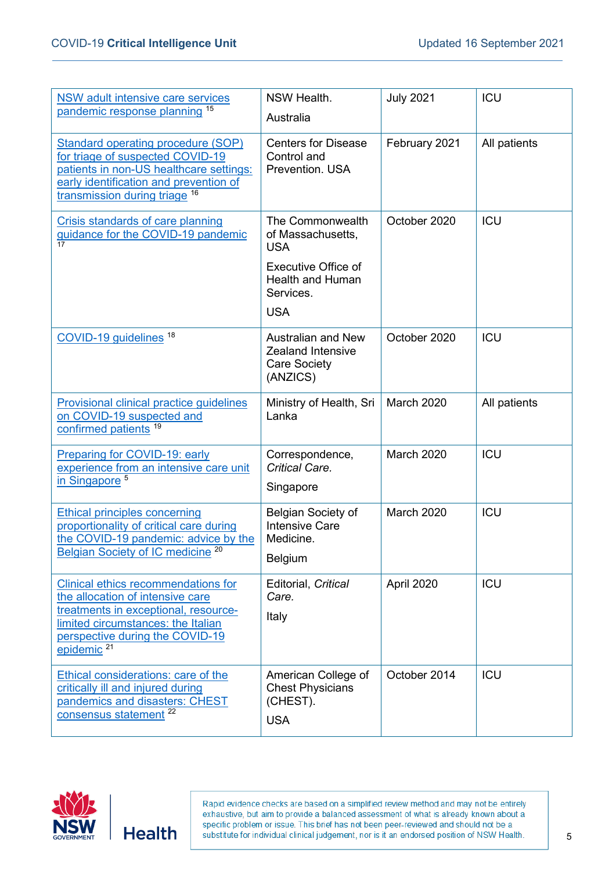| <b>NSW adult intensive care services</b><br>pandemic response planning 15                                                                                                                                          | NSW Health.<br>Australia                                                                                                                | <b>July 2021</b> | <b>ICU</b>   |
|--------------------------------------------------------------------------------------------------------------------------------------------------------------------------------------------------------------------|-----------------------------------------------------------------------------------------------------------------------------------------|------------------|--------------|
| <b>Standard operating procedure (SOP)</b><br>for triage of suspected COVID-19<br>patients in non-US healthcare settings:<br>early identification and prevention of<br>transmission during triage 16                | <b>Centers for Disease</b><br>Control and<br>Prevention. USA                                                                            | February 2021    | All patients |
| Crisis standards of care planning<br>guidance for the COVID-19 pandemic<br>17                                                                                                                                      | The Commonwealth<br>of Massachusetts,<br><b>USA</b><br><b>Executive Office of</b><br><b>Health and Human</b><br>Services.<br><b>USA</b> | October 2020     | <b>ICU</b>   |
| COVID-19 guidelines <sup>18</sup>                                                                                                                                                                                  | <b>Australian and New</b><br><b>Zealand Intensive</b><br><b>Care Society</b><br>(ANZICS)                                                | October 2020     | <b>ICU</b>   |
| <b>Provisional clinical practice guidelines</b><br>on COVID-19 suspected and<br>confirmed patients <sup>19</sup>                                                                                                   | Ministry of Health, Sri<br>Lanka                                                                                                        | March 2020       | All patients |
| <b>Preparing for COVID-19: early</b><br>experience from an intensive care unit<br>in Singapore <sup>5</sup>                                                                                                        | Correspondence,<br>Critical Care.<br>Singapore                                                                                          | March 2020       | <b>ICU</b>   |
| <b>Ethical principles concerning</b><br>proportionality of critical care during<br>the COVID-19 pandemic: advice by the<br>Belgian Society of IC medicine <sup>20</sup>                                            | Belgian Society of<br><b>Intensive Care</b><br>Medicine.<br>Belgium                                                                     | March 2020       | ICU          |
| Clinical ethics recommendations for<br>the allocation of intensive care<br>treatments in exceptional, resource-<br>limited circumstances: the Italian<br>perspective during the COVID-19<br>epidemic <sup>21</sup> | Editorial, Critical<br>Care.<br>Italy                                                                                                   | April 2020       | <b>ICU</b>   |
| Ethical considerations: care of the<br>critically ill and injured during<br>pandemics and disasters: CHEST<br>consensus statement <sup>22</sup>                                                                    | American College of<br><b>Chest Physicians</b><br>(CHEST).<br><b>USA</b>                                                                | October 2014     | <b>ICU</b>   |

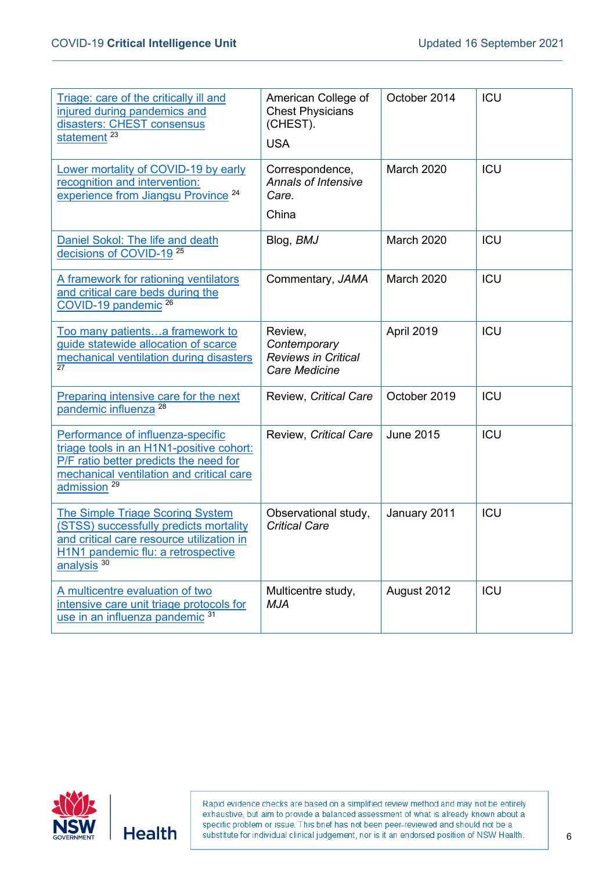| Triage: care of the critically ill and<br>injured during pandemics and<br>disasters: CHEST consensus<br>statement <sup>23</sup>                                                                | American College of<br><b>Chest Physicians</b><br>(CHEST).<br><b>USA</b>      | October 2014     | ICU        |
|------------------------------------------------------------------------------------------------------------------------------------------------------------------------------------------------|-------------------------------------------------------------------------------|------------------|------------|
| Lower mortality of COVID-19 by early<br>recognition and intervention:<br>experience from Jiangsu Province <sup>24</sup>                                                                        | Correspondence,<br><b>Annals of Intensive</b><br>Care.<br>China               | March 2020       | <b>ICU</b> |
| Daniel Sokol: The life and death<br>decisions of COVID-19 <sup>25</sup>                                                                                                                        | Blog, BMJ                                                                     | March 2020       | ICU        |
| A framework for rationing ventilators<br>and critical care beds during the<br>COVID-19 pandemic <sup>26</sup>                                                                                  | Commentary, JAMA                                                              | March 2020       | <b>ICU</b> |
| Too many patientsa framework to<br>guide statewide allocation of scarce<br>mechanical ventilation during disasters<br>27                                                                       | Review,<br>Contemporary<br><b>Reviews in Critical</b><br><b>Care Medicine</b> | April 2019       | <b>ICU</b> |
| Preparing intensive care for the next<br>pandemic influenza <sup>28</sup>                                                                                                                      | Review, Critical Care                                                         | October 2019     | ICU        |
| Performance of influenza-specific<br>triage tools in an H1N1-positive cohort:<br>P/F ratio better predicts the need for<br>mechanical ventilation and critical care<br>admission <sup>29</sup> | Review, Critical Care                                                         | <b>June 2015</b> | <b>ICU</b> |
| The Simple Triage Scoring System<br>(STSS) successfully predicts mortality<br>and critical care resource utilization in<br>H1N1 pandemic flu: a retrospective<br>analysis <sup>30</sup>        | Observational study,<br><b>Critical Care</b>                                  | January 2011     | <b>ICU</b> |
| A multicentre evaluation of two<br>intensive care unit triage protocols for<br>use in an influenza pandemic <sup>31</sup>                                                                      | Multicentre study,<br><b>MJA</b>                                              | August 2012      | ICU        |

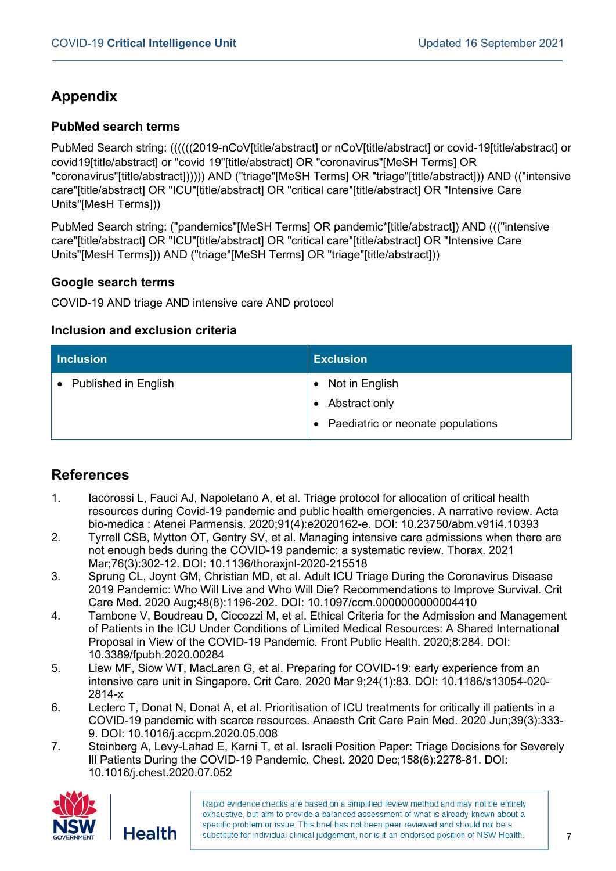## **Appendix**

#### **PubMed search terms**

PubMed Search string: ((((((2019-nCoV[title/abstract] or nCoV[title/abstract] or covid-19[title/abstract] or covid19[title/abstract] or "covid 19"[title/abstract] OR "coronavirus"[MeSH Terms] OR "coronavirus"[title/abstract]))))) AND ("triage"[MeSH Terms] OR "triage"[title/abstract])) AND (("intensive care"[title/abstract] OR "ICU"[title/abstract] OR "critical care"[title/abstract] OR "Intensive Care Units"[MesH Terms]))

PubMed Search string: ("pandemics"[MeSH Terms] OR pandemic\*[title/abstract]) AND ((("intensive care"[title/abstract] OR "ICU"[title/abstract] OR "critical care"[title/abstract] OR "Intensive Care Units"[MesH Terms])) AND ("triage"[MeSH Terms] OR "triage"[title/abstract]))

#### **Google search terms**

COVID-19 AND triage AND intensive care AND protocol

#### **Inclusion and exclusion criteria**

| <b>Inclusion</b>       | <b>Exclusion</b>                  |
|------------------------|-----------------------------------|
| • Published in English | • Not in English                  |
|                        | Abstract only                     |
|                        | Paediatric or neonate populations |

## **References**

- 1. Iacorossi L, Fauci AJ, Napoletano A, et al. Triage protocol for allocation of critical health resources during Covid-19 pandemic and public health emergencies. A narrative review. Acta bio-medica : Atenei Parmensis. 2020;91(4):e2020162-e. DOI: 10.23750/abm.v91i4.10393
- 2. Tyrrell CSB, Mytton OT, Gentry SV, et al. Managing intensive care admissions when there are not enough beds during the COVID-19 pandemic: a systematic review. Thorax. 2021 Mar;76(3):302-12. DOI: 10.1136/thoraxjnl-2020-215518
- 3. Sprung CL, Joynt GM, Christian MD, et al. Adult ICU Triage During the Coronavirus Disease 2019 Pandemic: Who Will Live and Who Will Die? Recommendations to Improve Survival. Crit Care Med. 2020 Aug;48(8):1196-202. DOI: 10.1097/ccm.0000000000004410
- 4. Tambone V, Boudreau D, Ciccozzi M, et al. Ethical Criteria for the Admission and Management of Patients in the ICU Under Conditions of Limited Medical Resources: A Shared International Proposal in View of the COVID-19 Pandemic. Front Public Health. 2020;8:284. DOI: 10.3389/fpubh.2020.00284
- 5. Liew MF, Siow WT, MacLaren G, et al. Preparing for COVID-19: early experience from an intensive care unit in Singapore. Crit Care. 2020 Mar 9;24(1):83. DOI: 10.1186/s13054-020- 2814-x
- 6. Leclerc T, Donat N, Donat A, et al. Prioritisation of ICU treatments for critically ill patients in a COVID-19 pandemic with scarce resources. Anaesth Crit Care Pain Med. 2020 Jun;39(3):333- 9. DOI: 10.1016/j.accpm.2020.05.008
- 7. Steinberg A, Levy-Lahad E, Karni T, et al. Israeli Position Paper: Triage Decisions for Severely Ill Patients During the COVID-19 Pandemic. Chest. 2020 Dec;158(6):2278-81. DOI: 10.1016/j.chest.2020.07.052

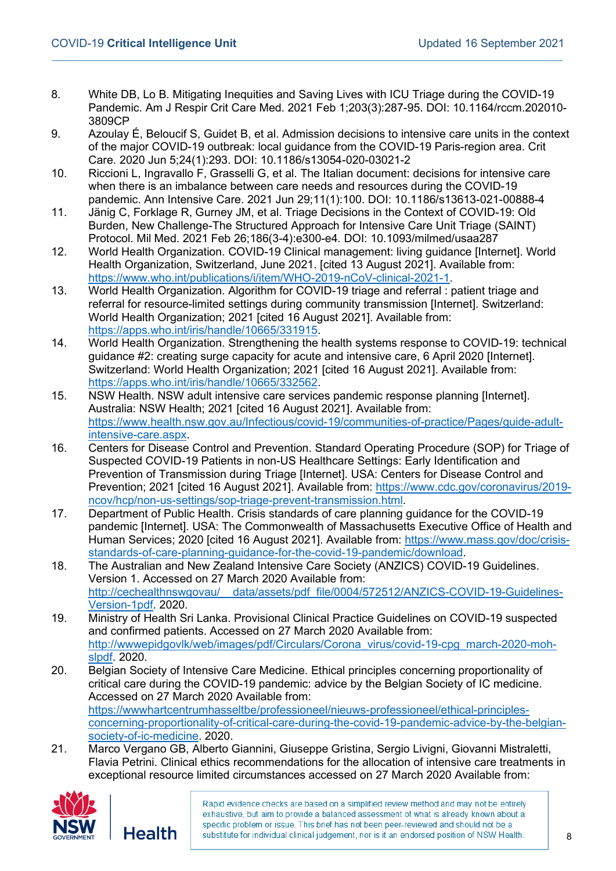- 8. White DB, Lo B. Mitigating Inequities and Saving Lives with ICU Triage during the COVID-19 Pandemic. Am J Respir Crit Care Med. 2021 Feb 1;203(3):287-95. DOI: 10.1164/rccm.202010- 3809CP
- 9. Azoulay É, Beloucif S, Guidet B, et al. Admission decisions to intensive care units in the context of the major COVID-19 outbreak: local guidance from the COVID-19 Paris-region area. Crit Care. 2020 Jun 5;24(1):293. DOI: 10.1186/s13054-020-03021-2
- 10. Riccioni L, Ingravallo F, Grasselli G, et al. The Italian document: decisions for intensive care when there is an imbalance between care needs and resources during the COVID-19 pandemic. Ann Intensive Care. 2021 Jun 29;11(1):100. DOI: 10.1186/s13613-021-00888-4
- 11. Jänig C, Forklage R, Gurney JM, et al. Triage Decisions in the Context of COVID-19: Old Burden, New Challenge-The Structured Approach for Intensive Care Unit Triage (SAINT) Protocol. Mil Med. 2021 Feb 26;186(3-4):e300-e4. DOI: 10.1093/milmed/usaa287
- 12. World Health Organization. COVID-19 Clinical management: living guidance [Internet]. World Health Organization, Switzerland, June 2021. [cited 13 August 2021]. Available from: [https://www.who.int/publications/i/item/WHO-2019-nCoV-clinical-2021-1.](https://www.who.int/publications/i/item/WHO-2019-nCoV-clinical-2021-1)
- 13. World Health Organization. Algorithm for COVID-19 triage and referral : patient triage and referral for resource-limited settings during community transmission [Internet]. Switzerland: World Health Organization; 2021 [cited 16 August 2021]. Available from: [https://apps.who.int/iris/handle/10665/331915.](https://apps.who.int/iris/handle/10665/331915)
- 14. World Health Organization. Strengthening the health systems response to COVID-19: technical guidance #2: creating surge capacity for acute and intensive care, 6 April 2020 [Internet]. Switzerland: World Health Organization; 2021 [cited 16 August 2021]. Available from: [https://apps.who.int/iris/handle/10665/332562.](https://apps.who.int/iris/handle/10665/332562)
- 15. NSW Health. NSW adult intensive care services pandemic response planning [Internet]. Australia: NSW Health; 2021 [cited 16 August 2021]. Available from: [https://www.health.nsw.gov.au/Infectious/covid-19/communities-of-practice/Pages/guide-adult](https://www.health.nsw.gov.au/Infectious/covid-19/communities-of-practice/Pages/guide-adult-intensive-care.aspx)[intensive-care.aspx.](https://www.health.nsw.gov.au/Infectious/covid-19/communities-of-practice/Pages/guide-adult-intensive-care.aspx)
- 16. Centers for Disease Control and Prevention. Standard Operating Procedure (SOP) for Triage of Suspected COVID-19 Patients in non-US Healthcare Settings: Early Identification and Prevention of Transmission during Triage [Internet]. USA: Centers for Disease Control and Prevention; 2021 [cited 16 August 2021]. Available from: [https://www.cdc.gov/coronavirus/2019](https://www.cdc.gov/coronavirus/2019-ncov/hcp/non-us-settings/sop-triage-prevent-transmission.html) [ncov/hcp/non-us-settings/sop-triage-prevent-transmission.html.](https://www.cdc.gov/coronavirus/2019-ncov/hcp/non-us-settings/sop-triage-prevent-transmission.html)
- 17. Department of Public Health. Crisis standards of care planning guidance for the COVID-19 pandemic [Internet]. USA: The Commonwealth of Massachusetts Executive Office of Health and Human Services; 2020 [cited 16 August 2021]. Available from: [https://www.mass.gov/doc/crisis](https://www.mass.gov/doc/crisis-standards-of-care-planning-guidance-for-the-covid-19-pandemic/download)[standards-of-care-planning-guidance-for-the-covid-19-pandemic/download.](https://www.mass.gov/doc/crisis-standards-of-care-planning-guidance-for-the-covid-19-pandemic/download)
- 18. The Australian and New Zealand Intensive Care Society (ANZICS) COVID-19 Guidelines. Version 1. Accessed on 27 March 2020 Available from: [http://cechealthnswgovau/\\_\\_data/assets/pdf\\_file/0004/572512/ANZICS-COVID-19-Guidelines-](http://cechealthnswgovau/__data/assets/pdf_file/0004/572512/ANZICS-COVID-19-Guidelines-Version-1pdf)[Version-1pdf.](http://cechealthnswgovau/__data/assets/pdf_file/0004/572512/ANZICS-COVID-19-Guidelines-Version-1pdf) 2020.
- 19. Ministry of Health Sri Lanka. Provisional Clinical Practice Guidelines on COVID-19 suspected and confirmed patients. Accessed on 27 March 2020 Available from: [http://wwwepidgovlk/web/images/pdf/Circulars/Corona\\_virus/covid-19-cpg\\_march-2020-moh](http://wwwepidgovlk/web/images/pdf/Circulars/Corona_virus/covid-19-cpg_march-2020-moh-slpdf)[slpdf.](http://wwwepidgovlk/web/images/pdf/Circulars/Corona_virus/covid-19-cpg_march-2020-moh-slpdf) 2020.
- 20. Belgian Society of Intensive Care Medicine. Ethical principles concerning proportionality of critical care during the COVID-19 pandemic: advice by the Belgian Society of IC medicine. Accessed on 27 March 2020 Available from: [https://wwwhartcentrumhasseltbe/professioneel/nieuws-professioneel/ethical-principles](https://wwwhartcentrumhasseltbe/professioneel/nieuws-professioneel/ethical-principles-concerning-proportionality-of-critical-care-during-the-covid-19-pandemic-advice-by-the-belgian-society-of-ic-medicine)[concerning-proportionality-of-critical-care-during-the-covid-19-pandemic-advice-by-the-belgian](https://wwwhartcentrumhasseltbe/professioneel/nieuws-professioneel/ethical-principles-concerning-proportionality-of-critical-care-during-the-covid-19-pandemic-advice-by-the-belgian-society-of-ic-medicine)[society-of-ic-medicine.](https://wwwhartcentrumhasseltbe/professioneel/nieuws-professioneel/ethical-principles-concerning-proportionality-of-critical-care-during-the-covid-19-pandemic-advice-by-the-belgian-society-of-ic-medicine) 2020.
- 21. Marco Vergano GB, Alberto Giannini, Giuseppe Gristina, Sergio Livigni, Giovanni Mistraletti, Flavia Petrini. Clinical ethics recommendations for the allocation of intensive care treatments in exceptional resource limited circumstances accessed on 27 March 2020 Available from: